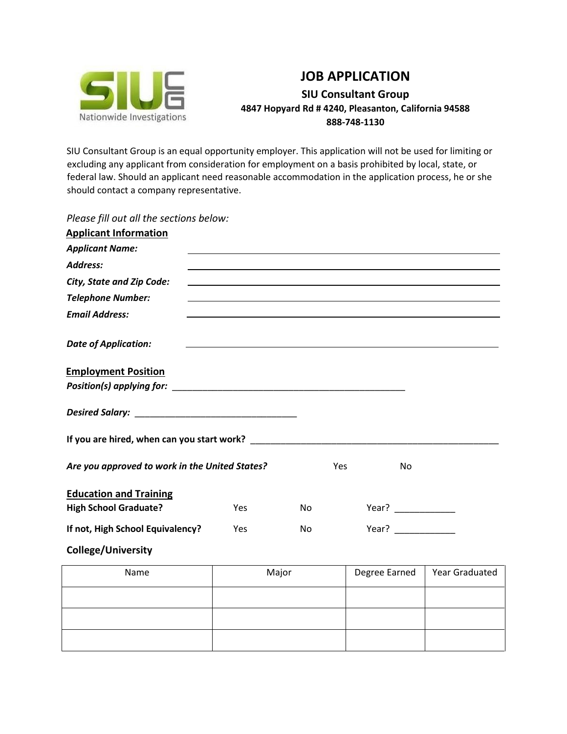

## **JOB APPLICATION SIU Consultant Group 4847 Hopyard Rd # 4240, Pleasanton, California 94588 888-748-1130**

SIU Consultant Group is an equal opportunity employer. This application will not be used for limiting or excluding any applicant from consideration for employment on a basis prohibited by local, state, or federal law. Should an applicant need reasonable accommodation in the application process, he or she should contact a company representative.

| Please fill out all the sections below:        |     |     |            |                                                                                  |  |
|------------------------------------------------|-----|-----|------------|----------------------------------------------------------------------------------|--|
| <b>Applicant Information</b>                   |     |     |            |                                                                                  |  |
| <b>Applicant Name:</b>                         |     |     |            |                                                                                  |  |
| Address:                                       |     |     |            |                                                                                  |  |
| <b>City, State and Zip Code:</b>               |     |     |            |                                                                                  |  |
| <b>Telephone Number:</b>                       |     |     |            | ,我们也不会有什么。""我们的人,我们也不会有什么?""我们的人,我们也不会有什么?""我们的人,我们也不会有什么?""我们的人,我们也不会有什么?""我们的人 |  |
| <b>Email Address:</b>                          |     |     |            |                                                                                  |  |
| <b>Date of Application:</b>                    |     |     |            |                                                                                  |  |
| <b>Employment Position</b>                     |     |     |            |                                                                                  |  |
|                                                |     |     |            |                                                                                  |  |
|                                                |     |     |            |                                                                                  |  |
| Are you approved to work in the United States? |     |     | <b>Yes</b> | No                                                                               |  |
| <b>Education and Training</b>                  |     |     |            |                                                                                  |  |
| <b>High School Graduate?</b>                   | Yes | No  |            | Year? $\qquad \qquad$                                                            |  |
| If not, High School Equivalency?               | Yes | No. |            | Year?                                                                            |  |
| <b>College/University</b>                      |     |     |            |                                                                                  |  |

| Name | Major | Degree Earned | <b>Year Graduated</b> |
|------|-------|---------------|-----------------------|
|      |       |               |                       |
|      |       |               |                       |
|      |       |               |                       |